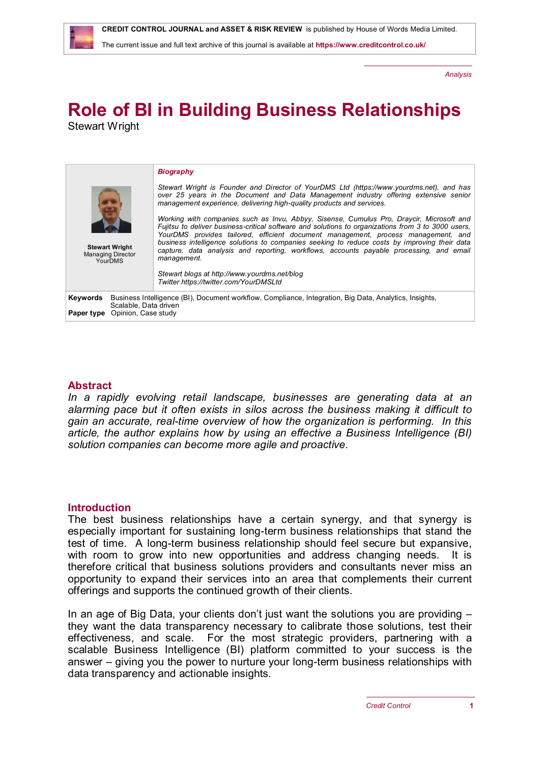

The current issue and full text archive of this journal is available at **<https://www.creditcontrol.co.uk/>**

*Analysis*

# **Role of BI in Building Business Relationships** Stewart Wright

| <b>Stewart Wright</b><br><b>Managing Director</b><br><b>YourDMS</b> |                                                                                                                                                                   | <b>Biography</b><br>Stewart Wright is Founder and Director of YourDMS Ltd (https://www.yourdms.net), and has<br>over 25 years in the Document and Data Management industry offering extensive senior<br>management experience, delivering high-quality products and services.<br>Working with companies such as Invu, Abbyy, Sisense, Cumulus Pro, Draycir, Microsoft and<br>Fujitsu to deliver business-critical software and solutions to organizations from 3 to 3000 users.<br>YourDMS provides tailored, efficient document management, process management, and<br>business intelligence solutions to companies seeking to reduce costs by improving their data<br>capture, data analysis and reporting, workflows, accounts payable processing, and email<br>management.<br>Stewart blogs at http://www.yourdms.net/blog<br>Twitter https://twitter.com/YourDMSLtd |
|---------------------------------------------------------------------|-------------------------------------------------------------------------------------------------------------------------------------------------------------------|--------------------------------------------------------------------------------------------------------------------------------------------------------------------------------------------------------------------------------------------------------------------------------------------------------------------------------------------------------------------------------------------------------------------------------------------------------------------------------------------------------------------------------------------------------------------------------------------------------------------------------------------------------------------------------------------------------------------------------------------------------------------------------------------------------------------------------------------------------------------------|
| Keywords                                                            | Business Intelligence (BI), Document workflow, Compliance, Integration, Big Data, Analytics, Insights,<br>Scalable, Data driven<br>Paper type Opinion, Case study |                                                                                                                                                                                                                                                                                                                                                                                                                                                                                                                                                                                                                                                                                                                                                                                                                                                                          |

#### **Abstract**

In a rapidly evolving retail landscape, businesses are generating data at an *alarming pace but it often exists in silos across the business making it difficult to gain an accurate, real-time overview of how the organization is performing. In this article, the author explains how by using an effective a Business Intelligence (BI) solution companies can become more agile and proactive.*

#### **Introduction**

The best business relationships have a certain synergy, and that synergy is especially important for sustaining long-term business relationships that stand the test of time. A long-term business relationship should feel secure but expansive, with room to grow into new opportunities and address changing needs. It is therefore critical that business solutions providers and consultants never miss an opportunity to expand their services into an area that complements their current offerings and supports the continued growth of their clients.

In an age of Big Data, your clients don't just want the solutions you are providing – they want the data transparency necessary to calibrate those solutions, test their effectiveness, and scale. For the most strategic providers, partnering with a scalable Business Intelligence (BI) platform committed to your success is the answer – giving you the power to nurture your long-term business relationships with data transparency and actionable insights.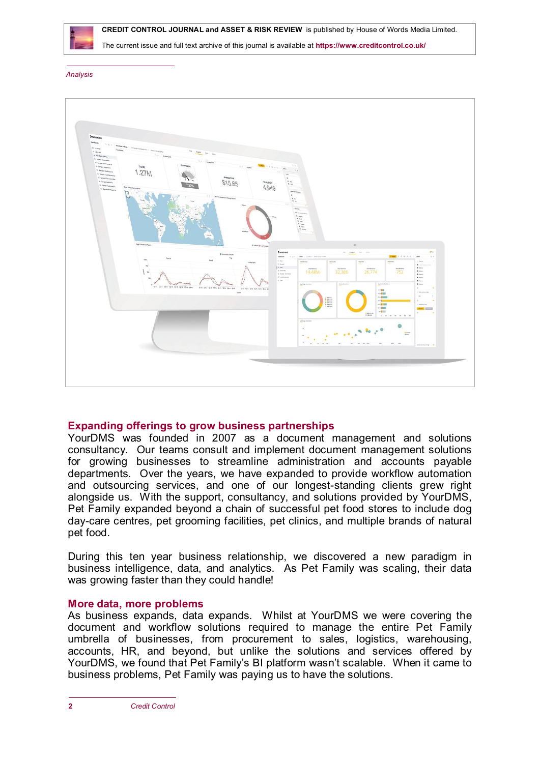

 **CREDIT CONTROL JOURNAL and ASSET & RISK REVIEW** is published by House of Words Media Limited.

The current issue and full text archive of this journal is available at **<https://www.creditcontrol.co.uk/>**

#### *Analysis*



#### **Expanding offerings to grow business partnerships**

YourDMS was founded in 2007 as a document management and solutions consultancy. Our teams consult and implement document management solutions for growing businesses to streamline administration and accounts payable departments. Over the years, we have expanded to provide workflow automation and outsourcing services, and one of our longest-standing clients grew right alongside us. With the support, consultancy, and solutions provided by YourDMS, Pet Family expanded beyond a chain of successful pet food stores to include dog day-care centres, pet grooming facilities, pet clinics, and multiple brands of natural pet food.

During this ten year business relationship, we discovered a new paradigm in business intelligence, data, and analytics. As Pet Family was scaling, their data was growing faster than they could handle!

#### **More data, more problems**

As business expands, data expands. Whilst at YourDMS we were covering the document and workflow solutions required to manage the entire Pet Family umbrella of businesses, from procurement to sales, logistics, warehousing, accounts, HR, and beyond, but unlike the solutions and services offered by YourDMS, we found that Pet Family's BI platform wasn't scalable. When it came to business problems, Pet Family was paying us to have the solutions.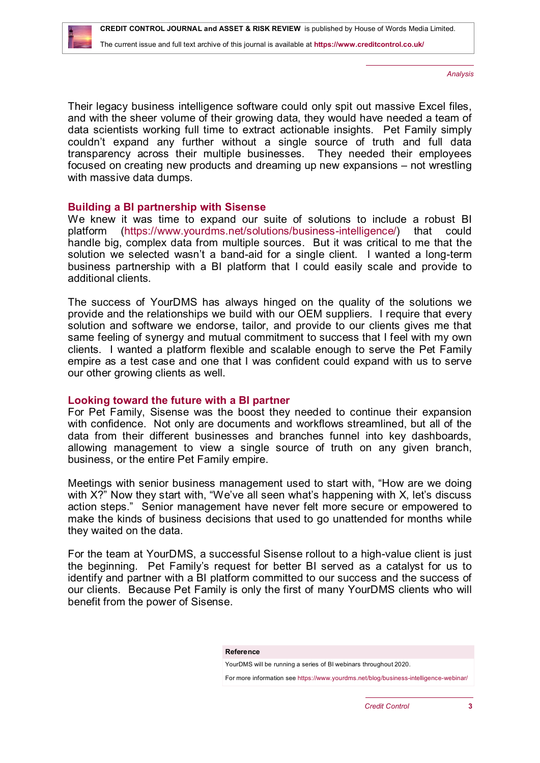*Analysis*

Their legacy business intelligence software could only spit out massive Excel files, and with the sheer volume of their growing data, they would have needed a team of data scientists working full time to extract actionable insights. Pet Family simply couldn't expand any further without a single source of truth and full data transparency across their multiple businesses. They needed their employees focused on creating new products and dreaming up new expansions – not wrestling with massive data dumps.

## **Building a BI partnership with Sisense**

We knew it was time to expand our suite of solutions to include a robust BI platform [\(https://www.yourdms.net/solutions/business-intelligence/](https://www.yourdms.net/solutions/business-intelligence/)) that could handle big, complex data from multiple sources. But it was critical to me that the solution we selected wasn't a band-aid for a single client. I wanted a long-term business partnership with a BI platform that I could easily scale and provide to additional clients.

The success of YourDMS has always hinged on the quality of the solutions we provide and the relationships we build with our OEM suppliers. I require that every solution and software we endorse, tailor, and provide to our clients gives me that same feeling of synergy and mutual commitment to success that I feel with my own clients. I wanted a platform flexible and scalable enough to serve the Pet Family empire as a test case and one that I was confident could expand with us to serve our other growing clients as well.

## **Looking toward the future with a BI partner**

For Pet Family, Sisense was the boost they needed to continue their expansion with confidence. Not only are documents and workflows streamlined, but all of the data from their different businesses and branches funnel into key dashboards, allowing management to view a single source of truth on any given branch, business, or the entire Pet Family empire.

Meetings with senior business management used to start with, "How are we doing with X?" Now they start with, "We've all seen what's happening with X, let's discuss action steps." Senior management have never felt more secure or empowered to make the kinds of business decisions that used to go unattended for months while they waited on the data.

For the team at YourDMS, a successful Sisense rollout to a high-value client is just the beginning. Pet Family's request for better BI served as a catalyst for us to identify and partner with a BI platform committed to our success and the success of our clients. Because Pet Family is only the first of many YourDMS clients who will benefit from the power of Sisense.

#### **Reference**

YourDMS will be running a series of BI webinars throughout 2020.

For more information see <https://www.yourdms.net/blog/business-intelligence-webinar/>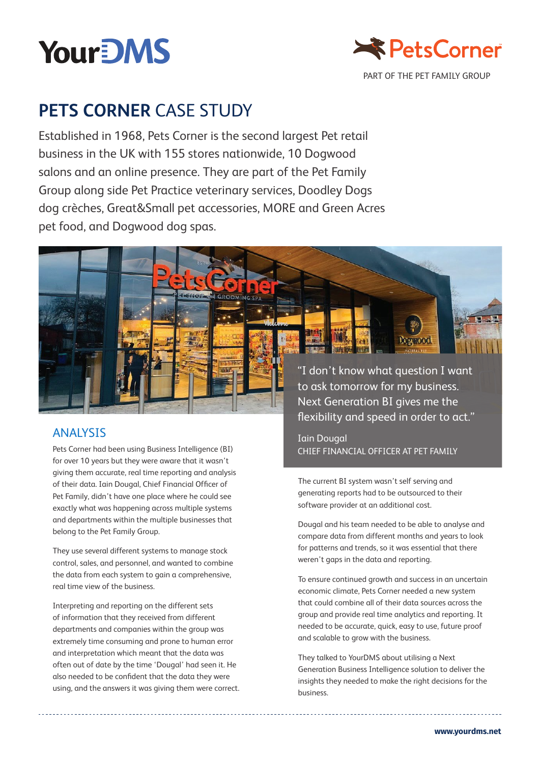



# **PETS CORNER CASE STUDY**

Established in 1968, Pets Corner is the second largest Pet retail business in the UK with 155 stores nationwide, 10 Dogwood salons and an online presence. They are part of the Pet Family Group along side Pet Practice veterinary services, Doodley Dogs dog crèches, Great&Small pet accessories, MORE and Green Acres pet food, and Dogwood dog spas.



Pets Corner had been using Business Intelligence (BI) for over 10 years but they were aware that it wasn't giving them accurate, real time reporting and analysis of their data. Iain Dougal, Chief Financial Officer of Pet Family, didn't have one place where he could see exactly what was happening across multiple systems and departments within the multiple businesses that belong to the Pet Family Group.

They use several different systems to manage stock control, sales, and personnel, and wanted to combine the data from each system to gain a comprehensive, real time view of the business.

Interpreting and reporting on the different sets of information that they received from different departments and companies within the group was extremely time consuming and prone to human error and interpretation which meant that the data was often out of date by the time 'Dougal' had seen it. He also needed to be confident that the data they were using, and the answers it was giving them were correct.

"I don't know what question I want to ask tomorrow for my business. Next Generation BI gives me the flexibility and speed in order to act."

Dogwood

Iain Dougal chief financial officer at Pet family

The current BI system wasn't self serving and generating reports had to be outsourced to their software provider at an additional cost.

Dougal and his team needed to be able to analyse and compare data from different months and years to look for patterns and trends, so it was essential that there weren't gaps in the data and reporting.

To ensure continued growth and success in an uncertain economic climate, Pets Corner needed a new system that could combine all of their data sources across the group and provide real time analytics and reporting. It needed to be accurate, quick, easy to use, future proof and scalable to grow with the business.

They talked to YourDMS about utilising a Next Generation Business Intelligence solution to deliver the insights they needed to make the right decisions for the business.